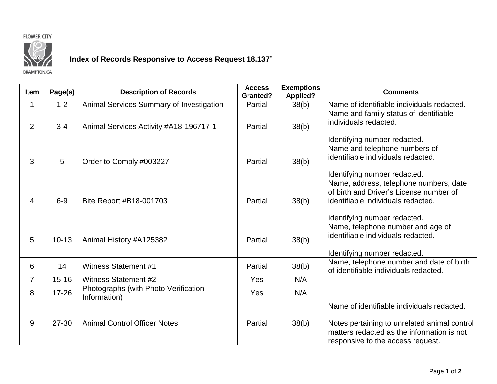



## **Index of Records Responsive to Access Request 18.137\***

**BRAMPTON.CA** 

| Item           | Page(s)   | <b>Description of Records</b>                        | <b>Access</b><br><b>Granted?</b> | <b>Exemptions</b><br><b>Applied?</b> | <b>Comments</b>                                                                                                                                                               |
|----------------|-----------|------------------------------------------------------|----------------------------------|--------------------------------------|-------------------------------------------------------------------------------------------------------------------------------------------------------------------------------|
| $\mathbf 1$    | $1 - 2$   | Animal Services Summary of Investigation             | Partial                          | 38(b)                                | Name of identifiable individuals redacted.                                                                                                                                    |
| $\overline{2}$ | $3 - 4$   | Animal Services Activity #A18-196717-1               | Partial                          | 38(b)                                | Name and family status of identifiable<br>individuals redacted.<br>Identifying number redacted.                                                                               |
| 3              | 5         | Order to Comply #003227                              | Partial                          | 38(b)                                | Name and telephone numbers of<br>identifiable individuals redacted.<br>Identifying number redacted.                                                                           |
| 4              | $6-9$     | Bite Report #B18-001703                              | Partial                          | 38(b)                                | Name, address, telephone numbers, date<br>of birth and Driver's License number of<br>identifiable individuals redacted.<br>Identifying number redacted.                       |
| 5              | $10 - 13$ | Animal History #A125382                              | Partial                          | 38(b)                                | Name, telephone number and age of<br>identifiable individuals redacted.<br>Identifying number redacted.                                                                       |
| 6              | 14        | <b>Witness Statement #1</b>                          | Partial                          | 38(b)                                | Name, telephone number and date of birth<br>of identifiable individuals redacted.                                                                                             |
| $\overline{7}$ | $15 - 16$ | <b>Witness Statement #2</b>                          | <b>Yes</b>                       | N/A                                  |                                                                                                                                                                               |
| 8              | $17 - 26$ | Photographs (with Photo Verification<br>Information) | <b>Yes</b>                       | N/A                                  |                                                                                                                                                                               |
| 9              | 27-30     | <b>Animal Control Officer Notes</b>                  | Partial                          | 38(b)                                | Name of identifiable individuals redacted.<br>Notes pertaining to unrelated animal control<br>matters redacted as the information is not<br>responsive to the access request. |